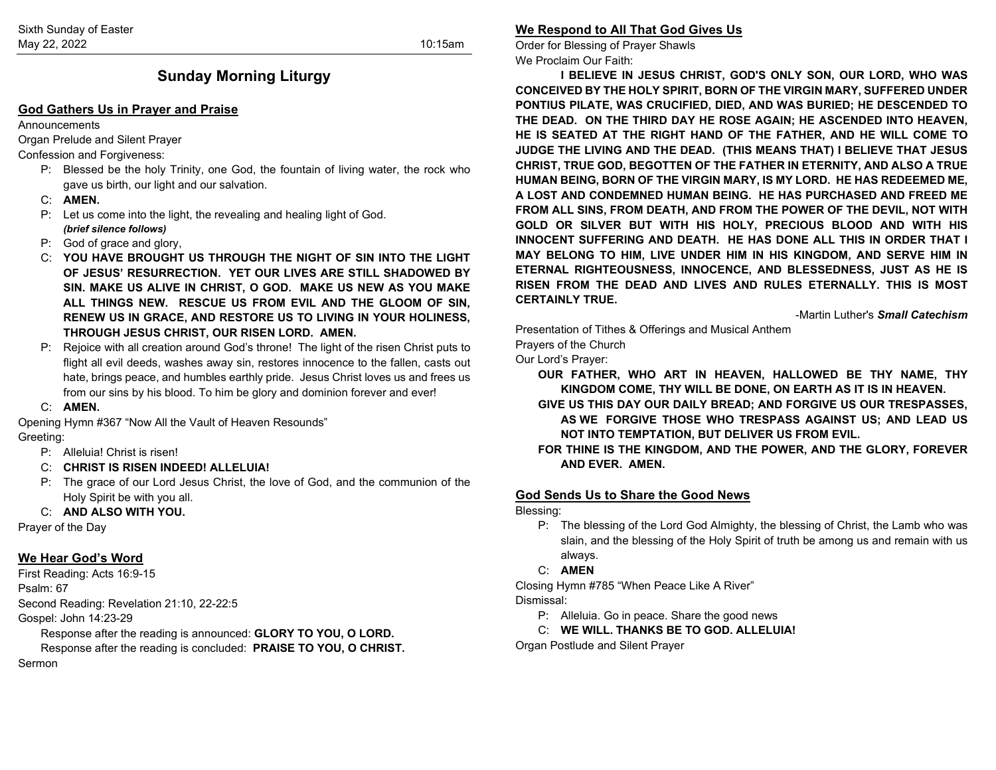# **Sunday Morning Liturgy**

#### **God Gathers Us in Prayer and Praise**

#### **Announcements**

Organ Prelude and Silent Prayer

#### Confession and Forgiveness:

- P: Blessed be the holy Trinity, one God, the fountain of living water, the rock who gave us birth, our light and our salvation.
- C: **AMEN.**
- P: Let us come into the light, the revealing and healing light of God. *(brief silence follows)*
- P: God of grace and glory,
- C: **YOU HAVE BROUGHT US THROUGH THE NIGHT OF SIN INTO THE LIGHT OF JESUS' RESURRECTION. YET OUR LIVES ARE STILL SHADOWED BY SIN. MAKE US ALIVE IN CHRIST, O GOD. MAKE US NEW AS YOU MAKE ALL THINGS NEW. RESCUE US FROM EVIL AND THE GLOOM OF SIN, RENEW US IN GRACE, AND RESTORE US TO LIVING IN YOUR HOLINESS, THROUGH JESUS CHRIST, OUR RISEN LORD. AMEN.**
- P: Rejoice with all creation around God's throne! The light of the risen Christ puts to flight all evil deeds, washes away sin, restores innocence to the fallen, casts out hate, brings peace, and humbles earthly pride. Jesus Christ loves us and frees us from our sins by his blood. To him be glory and dominion forever and ever!
- C: **AMEN.**

Opening Hymn #367 "Now All the Vault of Heaven Resounds" Greeting:

- P: Alleluia! Christ is risen!
- C: **CHRIST IS RISEN INDEED! ALLELUIA!**
- P: The grace of our Lord Jesus Christ, the love of God, and the communion of the Holy Spirit be with you all.

## C: **AND ALSO WITH YOU.**

Prayer of the Day

## **We Hear God's Word**

First Reading: Acts 16:9-15 Psalm: 67 Second Reading: Revelation 21:10, 22-22:5 Gospel: John 14:23-29

Response after the reading is announced: **GLORY TO YOU, O LORD.**

Response after the reading is concluded: **PRAISE TO YOU, O CHRIST.** Sermon

## **We Respond to All That God Gives Us**

Order for Blessing of Prayer Shawls We Proclaim Our Faith:

**I BELIEVE IN JESUS CHRIST, GOD'S ONLY SON, OUR LORD, WHO WAS CONCEIVED BY THE HOLY SPIRIT, BORN OF THE VIRGIN MARY, SUFFERED UNDER PONTIUS PILATE, WAS CRUCIFIED, DIED, AND WAS BURIED; HE DESCENDED TO THE DEAD. ON THE THIRD DAY HE ROSE AGAIN; HE ASCENDED INTO HEAVEN, HE IS SEATED AT THE RIGHT HAND OF THE FATHER, AND HE WILL COME TO JUDGE THE LIVING AND THE DEAD. (THIS MEANS THAT) I BELIEVE THAT JESUS CHRIST, TRUE GOD, BEGOTTEN OF THE FATHER IN ETERNITY, AND ALSO A TRUE HUMAN BEING, BORN OF THE VIRGIN MARY, IS MY LORD. HE HAS REDEEMED ME, A LOST AND CONDEMNED HUMAN BEING. HE HAS PURCHASED AND FREED ME FROM ALL SINS, FROM DEATH, AND FROM THE POWER OF THE DEVIL, NOT WITH GOLD OR SILVER BUT WITH HIS HOLY, PRECIOUS BLOOD AND WITH HIS INNOCENT SUFFERING AND DEATH. HE HAS DONE ALL THIS IN ORDER THAT I MAY BELONG TO HIM, LIVE UNDER HIM IN HIS KINGDOM, AND SERVE HIM IN ETERNAL RIGHTEOUSNESS, INNOCENCE, AND BLESSEDNESS, JUST AS HE IS RISEN FROM THE DEAD AND LIVES AND RULES ETERNALLY. THIS IS MOST CERTAINLY TRUE.**

-Martin Luther's *Small Catechism*

Presentation of Tithes & Offerings and Musical Anthem

Prayers of the Church

Our Lord's Prayer:

- **OUR FATHER, WHO ART IN HEAVEN, HALLOWED BE THY NAME, THY KINGDOM COME, THY WILL BE DONE, ON EARTH AS IT IS IN HEAVEN.**
- **GIVE US THIS DAY OUR DAILY BREAD; AND FORGIVE US OUR TRESPASSES, AS WE FORGIVE THOSE WHO TRESPASS AGAINST US; AND LEAD US NOT INTO TEMPTATION, BUT DELIVER US FROM EVIL.**

**FOR THINE IS THE KINGDOM, AND THE POWER, AND THE GLORY, FOREVER AND EVER. AMEN.**

## **God Sends Us to Share the Good News**

Blessing:

P: The blessing of the Lord God Almighty, the blessing of Christ, the Lamb who was slain, and the blessing of the Holy Spirit of truth be among us and remain with us always.

#### C: **AMEN**

Closing Hymn #785 "When Peace Like A River" Dismissal:

- P: Alleluia. Go in peace. Share the good news
- C: **WE WILL. THANKS BE TO GOD. ALLELUIA!**

Organ Postlude and Silent Prayer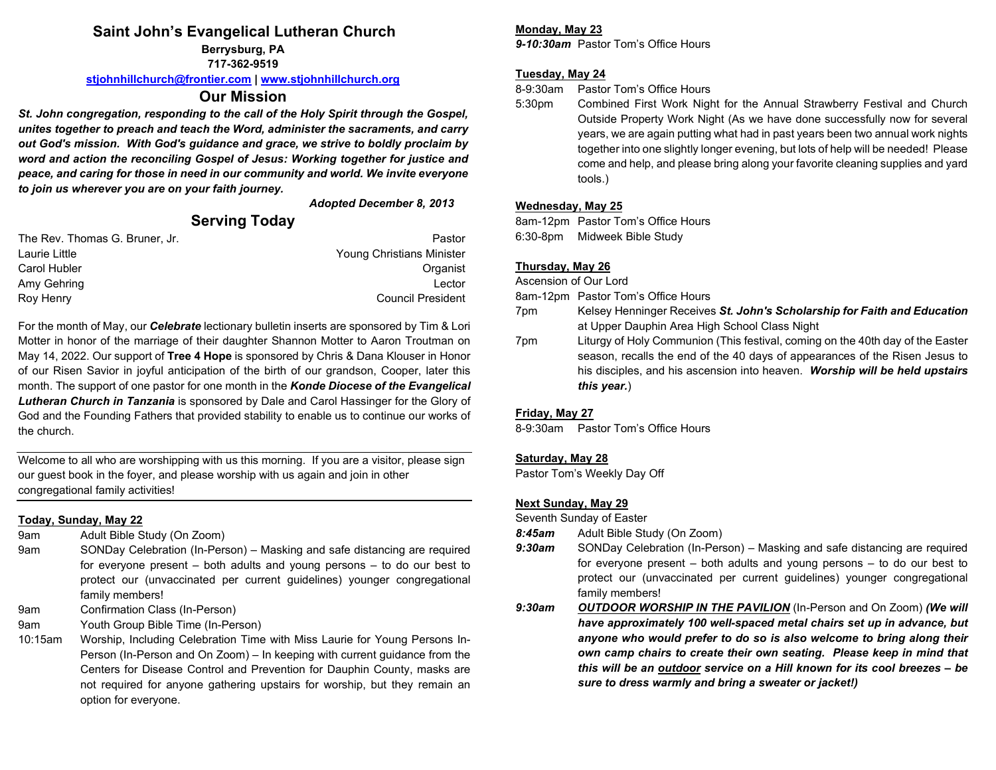# **Saint John's Evangelical Lutheran Church**

**Berrysburg, PA**

**717-362-9519**

**[stjohnhillchurch@frontier.com](mailto:stjohnhillchurch@frontier.com) | [www.stjohnhillchurch.org](http://www.stjohnhillchurch.org/)**

# **Our Mission**

*St. John congregation, responding to the call of the Holy Spirit through the Gospel, unites together to preach and teach the Word, administer the sacraments, and carry out God's mission. With God's guidance and grace, we strive to boldly proclaim by word and action the reconciling Gospel of Jesus: Working together for justice and peace, and caring for those in need in our community and world. We invite everyone to join us wherever you are on your faith journey.*

*Adopted December 8, 2013*

# **Serving Today**

| The Rev. Thomas G. Bruner, Jr. | Pastor                    |
|--------------------------------|---------------------------|
| Laurie Little                  | Young Christians Minister |
| Carol Hubler                   | Organist                  |
| Amy Gehring                    | Lector                    |
| Roy Henry                      | <b>Council President</b>  |

For the month of May, our *Celebrate* lectionary bulletin inserts are sponsored by Tim & Lori Motter in honor of the marriage of their daughter Shannon Motter to Aaron Troutman on May 14, 2022. Our support of **Tree 4 Hope** is sponsored by Chris & Dana Klouser in Honor of our Risen Savior in joyful anticipation of the birth of our grandson, Cooper, later this month. The support of one pastor for one month in the *Konde Diocese of the Evangelical Lutheran Church in Tanzania* is sponsored by Dale and Carol Hassinger for the Glory of God and the Founding Fathers that provided stability to enable us to continue our works of the church.

Welcome to all who are worshipping with us this morning. If you are a visitor, please sign our guest book in the foyer, and please worship with us again and join in other congregational family activities!

## **Today, Sunday, May 22**

- 9am Adult Bible Study (On Zoom)
- 9am SONDay Celebration (In-Person) Masking and safe distancing are required for everyone present – both adults and young persons – to do our best to protect our (unvaccinated per current guidelines) younger congregational family members!
- 9am Confirmation Class (In-Person)
- 9am Youth Group Bible Time (In-Person)

10:15am Worship, Including Celebration Time with Miss Laurie for Young Persons In-Person (In-Person and On Zoom) – In keeping with current guidance from the Centers for Disease Control and Prevention for Dauphin County, masks are not required for anyone gathering upstairs for worship, but they remain an option for everyone.

#### **Monday, May 23**

*9-10:30am* Pastor Tom's Office Hours

### **Tuesday, May 24**

8-9:30am Pastor Tom's Office Hours

5:30pm Combined First Work Night for the Annual Strawberry Festival and Church Outside Property Work Night (As we have done successfully now for several years, we are again putting what had in past years been two annual work nights together into one slightly longer evening, but lots of help will be needed! Please come and help, and please bring along your favorite cleaning supplies and yard tools.)

## **Wednesday, May 25**

8am-12pm Pastor Tom's Office Hours 6:30-8pm Midweek Bible Study

## **Thursday, May 26**

Ascension of Our Lord

8am-12pm Pastor Tom's Office Hours

- 7pm Kelsey Henninger Receives *St. John's Scholarship for Faith and Education*  at Upper Dauphin Area High School Class Night
- 7pm Liturgy of Holy Communion (This festival, coming on the 40th day of the Easter season, recalls the end of the 40 days of appearances of the Risen Jesus to his disciples, and his ascension into heaven. *Worship will be held upstairs this year.*)

## **Friday, May 27**

8-9:30am Pastor Tom's Office Hours

## **Saturday, May 28**

Pastor Tom's Weekly Day Off

## **Next Sunday, May 29**

Seventh Sunday of Easter

- *8:45am* Adult Bible Study (On Zoom)
- *9:30am* SONDay Celebration (In-Person) Masking and safe distancing are required for everyone present – both adults and young persons – to do our best to protect our (unvaccinated per current guidelines) younger congregational family members!
- *9:30am OUTDOOR WORSHIP IN THE PAVILION* (In-Person and On Zoom) *(We will have approximately 100 well-spaced metal chairs set up in advance, but anyone who would prefer to do so is also welcome to bring along their own camp chairs to create their own seating. Please keep in mind that this will be an outdoor service on a Hill known for its cool breezes – be sure to dress warmly and bring a sweater or jacket!)*